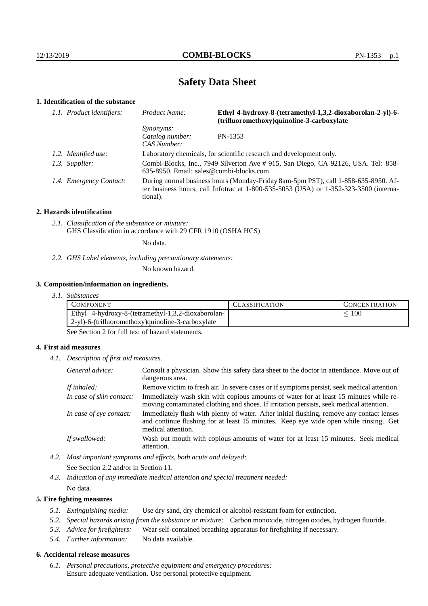# **Safety Data Sheet**

# **1. Identification of the substance**

| 1.1. Product identifiers: | Ethyl 4-hydroxy-8-(tetramethyl-1,3,2-dioxaborolan-2-yl)-6-<br>Product Name:<br>(trifluoromethoxy)quinoline-3-carboxylate                                                                    |         |
|---------------------------|---------------------------------------------------------------------------------------------------------------------------------------------------------------------------------------------|---------|
|                           | <i>Synonyms:</i><br>Catalog number:<br>CAS Number:                                                                                                                                          | PN-1353 |
| 1.2. Identified use:      | Laboratory chemicals, for scientific research and development only.                                                                                                                         |         |
| 1.3. Supplier:            | Combi-Blocks, Inc., 7949 Silverton Ave # 915, San Diego, CA 92126, USA. Tel: 858-<br>$635-8950$ . Email: sales@combi-blocks.com.                                                            |         |
| 1.4. Emergency Contact:   | During normal business hours (Monday-Friday 8am-5pm PST), call 1-858-635-8950. Af-<br>ter business hours, call Infotrac at $1-800-535-5053$ (USA) or $1-352-323-3500$ (interna-<br>tional). |         |

#### **2. Hazards identification**

*2.1. Classification of the substance or mixture:* GHS Classification in accordance with 29 CFR 1910 (OSHA HCS)

No data.

*2.2. GHS Label elements, including precautionary statements:*

No known hazard.

#### **3. Composition/information on ingredients.**

*3.1. Substances*

| Ethyl 4-hydroxy-8-(tetramethyl-1,3,2-dioxaborolan-<br>100 | <b>CONCENTRATION</b> |
|-----------------------------------------------------------|----------------------|
|                                                           |                      |
| 2-yl)-6-(trifluoromethoxy)quinoline-3-carboxylate         |                      |

See Section 2 for full text of hazard statements.

#### **4. First aid measures**

*4.1. Description of first aid measures.*

| General advice:          | Consult a physician. Show this safety data sheet to the doctor in attendance. Move out of<br>dangerous area.                                                                                            |
|--------------------------|---------------------------------------------------------------------------------------------------------------------------------------------------------------------------------------------------------|
| If inhaled:              | Remove victim to fresh air. In severe cases or if symptoms persist, seek medical attention.                                                                                                             |
| In case of skin contact: | Immediately wash skin with copious amounts of water for at least 15 minutes while re-<br>moving contaminated clothing and shoes. If irritation persists, seek medical attention.                        |
| In case of eye contact:  | Immediately flush with plenty of water. After initial flushing, remove any contact lenses<br>and continue flushing for at least 15 minutes. Keep eye wide open while rinsing. Get<br>medical attention. |
| If swallowed:            | Wash out mouth with copious amounts of water for at least 15 minutes. Seek medical<br>attention.                                                                                                        |

- *4.2. Most important symptoms and effects, both acute and delayed:* See Section 2.2 and/or in Section 11.
- *4.3. Indication of any immediate medical attention and special treatment needed:* No data.

#### **5. Fire fighting measures**

- *5.1. Extinguishing media:* Use dry sand, dry chemical or alcohol-resistant foam for extinction.
- *5.2. Special hazards arising from the substance or mixture:* Carbon monoxide, nitrogen oxides, hydrogen fluoride.
- *5.3. Advice for firefighters:* Wear self-contained breathing apparatus for firefighting if necessary.
- *5.4. Further information:* No data available.

### **6. Accidental release measures**

*6.1. Personal precautions, protective equipment and emergency procedures:* Ensure adequate ventilation. Use personal protective equipment.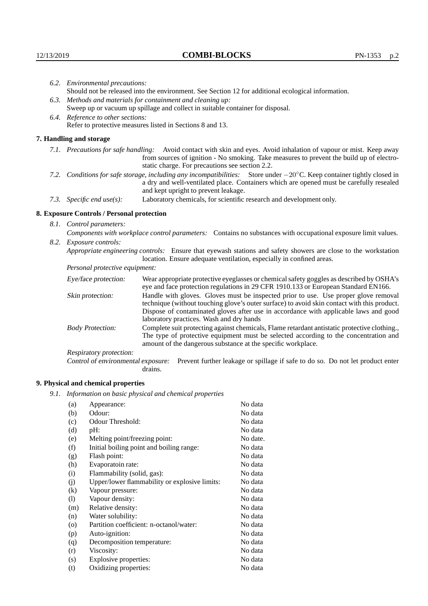|                                                                                                                                  | 6.2. Environmental precautions:<br>Should not be released into the environment. See Section 12 for additional ecological information.                                                  |                                                                                                                                                                                                                                                                            |  |
|----------------------------------------------------------------------------------------------------------------------------------|----------------------------------------------------------------------------------------------------------------------------------------------------------------------------------------|----------------------------------------------------------------------------------------------------------------------------------------------------------------------------------------------------------------------------------------------------------------------------|--|
|                                                                                                                                  |                                                                                                                                                                                        |                                                                                                                                                                                                                                                                            |  |
|                                                                                                                                  |                                                                                                                                                                                        | 6.3. Methods and materials for containment and cleaning up:                                                                                                                                                                                                                |  |
|                                                                                                                                  |                                                                                                                                                                                        | Sweep up or vacuum up spillage and collect in suitable container for disposal.                                                                                                                                                                                             |  |
|                                                                                                                                  | 6.4. Reference to other sections:                                                                                                                                                      |                                                                                                                                                                                                                                                                            |  |
|                                                                                                                                  |                                                                                                                                                                                        | Refer to protective measures listed in Sections 8 and 13.                                                                                                                                                                                                                  |  |
|                                                                                                                                  | 7. Handling and storage                                                                                                                                                                |                                                                                                                                                                                                                                                                            |  |
|                                                                                                                                  |                                                                                                                                                                                        | 7.1. Precautions for safe handling: Avoid contact with skin and eyes. Avoid inhalation of vapour or mist. Keep away<br>from sources of ignition - No smoking. Take measures to prevent the build up of electro-<br>static charge. For precautions see section 2.2.         |  |
| 7.2. Conditions for safe storage, including any incompatibilities: Store under $-20^{\circ}$ C. Keep container tightly closed in |                                                                                                                                                                                        | a dry and well-ventilated place. Containers which are opened must be carefully resealed<br>and kept upright to prevent leakage.                                                                                                                                            |  |
|                                                                                                                                  | 7.3. Specific end use(s):                                                                                                                                                              | Laboratory chemicals, for scientific research and development only.                                                                                                                                                                                                        |  |
|                                                                                                                                  | 8. Exposure Controls / Personal protection                                                                                                                                             |                                                                                                                                                                                                                                                                            |  |
|                                                                                                                                  | 8.1. Control parameters:<br>Components with workplace control parameters: Contains no substances with occupational exposure limit values.                                              |                                                                                                                                                                                                                                                                            |  |
|                                                                                                                                  |                                                                                                                                                                                        |                                                                                                                                                                                                                                                                            |  |
|                                                                                                                                  | 8.2. Exposure controls:                                                                                                                                                                |                                                                                                                                                                                                                                                                            |  |
|                                                                                                                                  | Appropriate engineering controls: Ensure that eyewash stations and safety showers are close to the workstation<br>location. Ensure adequate ventilation, especially in confined areas. |                                                                                                                                                                                                                                                                            |  |
|                                                                                                                                  | Personal protective equipment:                                                                                                                                                         |                                                                                                                                                                                                                                                                            |  |
|                                                                                                                                  | Eye/face protection:                                                                                                                                                                   | Wear appropriate protective eyeglasses or chemical safety goggles as described by OSHA's<br>eye and face protection regulations in 29 CFR 1910.133 or European Standard EN166.                                                                                             |  |
|                                                                                                                                  | Skin protection:                                                                                                                                                                       | Handle with gloves. Gloves must be inspected prior to use. Use proper glove removal<br>technique (without touching glove's outer surface) to avoid skin contact with this product.<br>Dispose of conteminated gloves after use in accordance with applicable laws and good |  |

## **8. Exposure Controls / Personal protection**

| Eye/face protection:               | Wear appropriate protective eyeglasses or chemical safety goggles as described by OSHA's<br>eye and face protection regulations in 29 CFR 1910.133 or European Standard EN166.                                                                                                                                         |  |  |
|------------------------------------|------------------------------------------------------------------------------------------------------------------------------------------------------------------------------------------------------------------------------------------------------------------------------------------------------------------------|--|--|
| Skin protection:                   | Handle with gloves. Gloves must be inspected prior to use. Use proper glove removal<br>technique (without touching glove's outer surface) to avoid skin contact with this product.<br>Dispose of contaminated gloves after use in accordance with applicable laws and good<br>laboratory practices. Wash and dry hands |  |  |
| <b>Body Protection:</b>            | Complete suit protecting against chemicals, Flame retardant antistatic protective clothing.,<br>The type of protective equipment must be selected according to the concentration and<br>amount of the dangerous substance at the specific workplace.                                                                   |  |  |
| Respiratory protection:            |                                                                                                                                                                                                                                                                                                                        |  |  |
| Control of environmental exposure: | Prevent further leakage or spillage if safe to do so. Do not let product enter<br>drains.                                                                                                                                                                                                                              |  |  |

# **9. Physical and chemical properties**

*9.1. Information on basic physical and chemical properties*

| (a)     | Appearance:                                   | No data  |
|---------|-----------------------------------------------|----------|
| (b)     | Odour:                                        | No data  |
| (c)     | Odour Threshold:                              | No data  |
| (d)     | pH:                                           | No data  |
| (e)     | Melting point/freezing point:                 | No date. |
| (f)     | Initial boiling point and boiling range:      | No data  |
| (g)     | Flash point:                                  | No data  |
| (h)     | Evaporatoin rate:                             | No data  |
| (i)     | Flammability (solid, gas):                    | No data  |
| (i)     | Upper/lower flammability or explosive limits: | No data  |
| (k)     | Vapour pressure:                              | No data  |
| (1)     | Vapour density:                               | No data  |
| (m)     | Relative density:                             | No data  |
| (n)     | Water solubility:                             | No data  |
| $\circ$ | Partition coefficient: n-octanol/water:       | No data  |
| (p)     | Auto-ignition:                                | No data  |
| (q)     | Decomposition temperature:                    | No data  |
| (r)     | Viscosity:                                    | No data  |
| (s)     | Explosive properties:                         | No data  |
| (t)     | Oxidizing properties:                         | No data  |
|         |                                               |          |